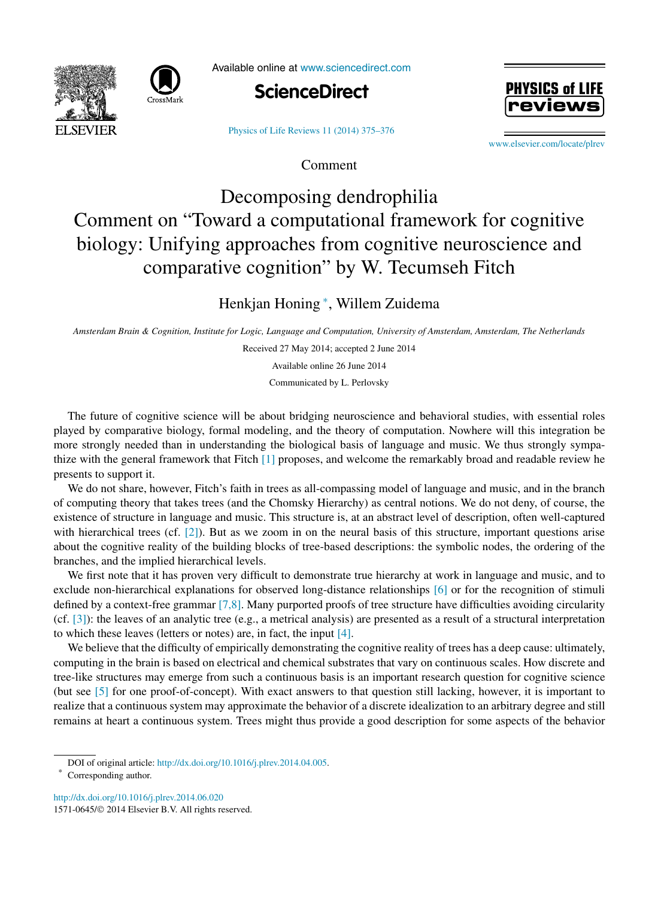



Available online at [www.sciencedirect.com](http://www.sciencedirect.com)



[Physics of Life Reviews 11 \(2014\) 375–376](http://dx.doi.org/10.1016/j.plrev.2014.06.020)

Comment

PHYSICS of L

[www.elsevier.com/locate/plrev](http://www.elsevier.com/locate/plrev)

## Decomposing dendrophilia Comment on "Toward a computational framework for cognitive biology: Unifying approaches from cognitive neuroscience and comparative cognition" by W. Tecumseh Fitch

## Henkjan Honing <sup>∗</sup> , Willem Zuidema

Amsterdam Brain & Cognition, Institute for Logic, Language and Computation, University of Amsterdam, Amsterdam, The Netherlands

Received 27 May 2014; accepted 2 June 2014 Available online 26 June 2014

Communicated by L. Perlovsky

The future of cognitive science will be about bridging neuroscience and behavioral studies, with essential roles played by comparative biology, formal modeling, and the theory of computation. Nowhere will this integration be more strongly needed than in understanding the biological basis of language and music. We thus strongly sympathize with the general framework that Fitch [\[1\]](#page-1-0) proposes, and welcome the remarkably broad and readable review he presents to support it.

We do not share, however, Fitch's faith in trees as all-compassing model of language and music, and in the branch of computing theory that takes trees (and the Chomsky Hierarchy) as central notions. We do not deny, of course, the existence of structure in language and music. This structure is, at an abstract level of description, often well-captured with hierarchical trees (cf.  $[2]$ ). But as we zoom in on the neural basis of this structure, important questions arise about the cognitive reality of the building blocks of tree-based descriptions: the symbolic nodes, the ordering of the branches, and the implied hierarchical levels.

We first note that it has proven very difficult to demonstrate true hierarchy at work in language and music, and to exclude non-hierarchical explanations for observed long-distance relationships [\[6\]](#page-1-0) or for the recognition of stimuli defined by a context-free grammar [\[7,8\].](#page-1-0) Many purported proofs of tree structure have difficulties avoiding circularity (cf. [\[3\]\)](#page-1-0): the leaves of an analytic tree (e.g., a metrical analysis) are presented as a result of a structural interpretation to which these leaves (letters or notes) are, in fact, the input [\[4\].](#page-1-0)

We believe that the difficulty of empirically demonstrating the cognitive reality of trees has a deep cause: ultimately, computing in the brain is based on electrical and chemical substrates that vary on continuous scales. How discrete and tree-like structures may emerge from such a continuous basis is an important research question for cognitive science (but see [\[5\]](#page-1-0) for one proof-of-concept). With exact answers to that question still lacking, however, it is important to realize that a continuous system may approximate the behavior of a discrete idealization to an arbitrary degree and still remains at heart a continuous system. Trees might thus provide a good description for some aspects of the behavior

<http://dx.doi.org/10.1016/j.plrev.2014.06.020> 1571-0645/© 2014 Elsevier B.V. All rights reserved.

DOI of original article: <http://dx.doi.org/10.1016/j.plrev.2014.04.005>.

Corresponding author.